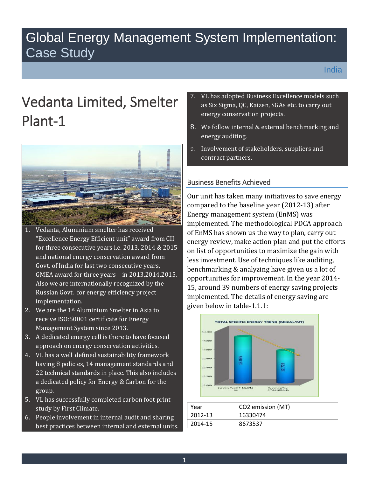# Global Energy Management System Implementation: Case Study

# Vedanta Limited, Smelter Plant-1



- GMEA award for three years in 2013,2014,2015. 1. Vedanta, Aluminium smelter has received "Excellence Energy Efficient unit" award from CII for three consecutive years i.e. 2013, 2014 & 2015 and national energy conservation award from Govt. of India for last two consecutive years, Also we are internationally recognized by the Russian Govt. for energy efficiency project implementation.
- 2. We are the 1st Aluminium Smelter in Asia to receive ISO:50001 certificate for Energy Management System since 2013.
- 3. A dedicated energy cell is there to have focused approach on energy conservation activities.
- 4. VL has a well defined sustainability framework having 8 policies, 14 management standards and 22 technical standards in place. This also includes a dedicated policy for Energy & Carbon for the group.
- 5. VL has successfully completed carbon foot print study by First Climate.
- 6. People involvement in internal audit and sharing best practices between internal and external units.
- 7. VL has adopted Business Excellence models such as Six Sigma, QC, Kaizen, SGAs etc. to carry out energy conservation projects.
- 8. We follow internal & external benchmarking and energy auditing.
- 9. Involvement of stakeholders, suppliers and contract partners.

# Business Benefits Achieved

 Our unit has taken many initiatives to save energy implemented. The methodological PDCA approach benchmarking & analyzing have given us a lot of compared to the baseline year (2012-13) after Energy management system (EnMS) was of EnMS has shown us the way to plan, carry out energy review, make action plan and put the efforts on list of opportunities to maximize the gain with less investment. Use of techniques like auditing, opportunities for improvement. In the year 2014- 15, around 39 numbers of energy saving projects implemented. The details of energy saving are given below in table-1.1.1:



| Year    | CO2 emission (MT) |
|---------|-------------------|
| 2012-13 | 16330474          |
| 2014-15 | 8673537           |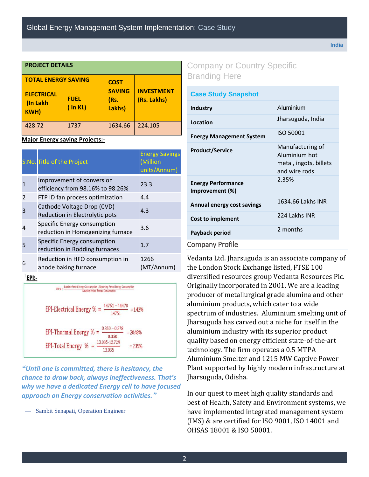| <b>PROJECT DETAILS</b>                       |                              |                                 |                                  |  |  |
|----------------------------------------------|------------------------------|---------------------------------|----------------------------------|--|--|
| <b>TOTAL ENERGY SAVING</b>                   |                              | <b>COST</b>                     |                                  |  |  |
| <b>ELECTRICAL</b><br>(In Lakh<br><b>KWH)</b> | <b>FUEL</b><br>$($ In KL $)$ | <b>SAVING</b><br>(Rs.<br>Lakhs) | <b>INVESTMENT</b><br>(Rs. Lakhs) |  |  |
| 428.72                                       | 1737                         | 1634.66                         | 224.105                          |  |  |

#### **Major Energy saving Projects:-**

|   | S.No. Title of the Project                                       | <b>Energy Savings</b><br><b>Million</b><br>units/Annum) |
|---|------------------------------------------------------------------|---------------------------------------------------------|
|   | Improvement of conversion<br>efficiency from 98.16% to 98.26%    | 23.3                                                    |
|   | FTP ID fan process optimization                                  | 4.4                                                     |
|   | Cathode Voltage Drop (CVD)<br>Reduction in Electrolytic pots     | 4.3                                                     |
|   | Specific Energy consumption<br>reduction in Homogenizing furnace | 3.6                                                     |
|   | Specific Energy consumption<br>reduction in Rodding furnaces     | 1.7                                                     |
| 6 | Reduction in HFO consumption in<br>anode baking furnace          | 1266<br>(MT/Annum)                                      |

EPI:-

EPI % = Baseline Period Energy Consumption - Reporting Period Energy Consumption<br>Baseline Period Energy Consumption EPI-Electrical Energy % =  $\frac{14751 - 14478}{14751}$  = 142% EPI-Thermal Energy % =  $\frac{0.350 - 0.278}{0.350}$  = 20.48% EPI-Total Energy % =  $\frac{13.035 \cdot 12.729}{13.035}$  $= 2.35%$ 

*"Until one is committed, there is hesitancy, the chance to draw back, always ineffectiveness. That's why we have a dedicated Energy cell to have focused approach on Energy conservation activities."*

Sambit Senapati, Operation Engineer

# Company or Country Specific Branding Here

| <b>Case Study Snapshot</b>                   |                                                                              |  |  |
|----------------------------------------------|------------------------------------------------------------------------------|--|--|
| <b>Industry</b>                              | Aluminium                                                                    |  |  |
| Location                                     | Jharsuguda, India                                                            |  |  |
| <b>Energy Management System</b>              | ISO 50001                                                                    |  |  |
| <b>Product/Service</b>                       | Manufacturing of<br>Aluminium hot<br>metal, ingots, billets<br>and wire rods |  |  |
| <b>Energy Performance</b><br>Improvement (%) | 2.35%                                                                        |  |  |
| <b>Annual energy cost savings</b>            | 1634.66 Lakhs INR                                                            |  |  |
| Cost to implement                            | 224 Lakhs INR                                                                |  |  |
| Payback period                               | 2 months                                                                     |  |  |
| <b>Company Profile</b>                       |                                                                              |  |  |

 spectrum of industries. Aluminium smelting unit of Vedanta Ltd. Jharsuguda is an associate company of the London Stock Exchange listed, FTSE 100 diversified resources group Vedanta Resources Plc. Originally incorporated in 2001. We are a leading producer of metallurgical grade alumina and other aluminium products, which cater to a wide Jharsuguda has carved out a niche for itself in the aluminium industry with its superior product quality based on energy efficient state-of-the-art technology. The firm operates a 0.5 MTPA Aluminium Smelter and 1215 MW Captive Power Plant supported by highly modern infrastructure at Jharsuguda, Odisha.

In our quest to meet high quality standards and best of Health, Safety and Environment systems, we have implemented integrated management system (IMS) & are certified for ISO 9001, ISO 14001 and OHSAS 18001 & ISO 50001.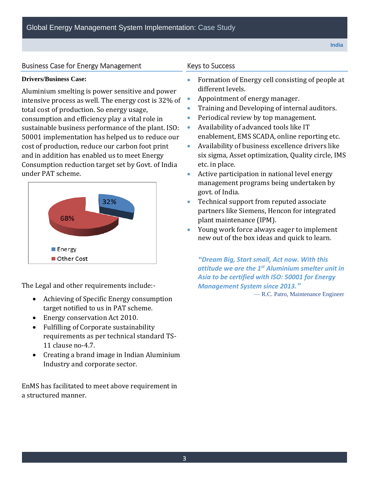# Business Case for Energy Management Keys to Success

consumption and efficiency play a vital role in **Consumption and efficiency play a vital role in** Periodical review by top management. sustainable business performance of the plant. ISO: <br>Availability of advanced tools like IT under PAT scheme. Aluminium smelting is power sensitive and power different levels. intensive process as well. The energy cost is  $32\%$  of  $\bullet$  Appointment of energy manager. total cost of production. So energy usage, **The Common Containing and Developing of internal auditors.** 50001 implementation has helped us to reduce our cost of production, reduce our carbon foot print and in addition has enabled us to meet Energy Consumption reduction target set by Govt. of India etc. in place.



The Legal and other requirements include:- *Management System since 2013."*

- Achieving of Specific Energy consumption  $-$  R.C. Patro, Maintenance Engineer target notified to us in PAT scheme.
- **Energy conservation Act 2010.**
- Fulfilling of Corporate sustainability requirements as per technical standard TS-11 clause no-4.7.
- Creating a brand image in Indian Aluminium Industry and corporate sector.

 a structured manner. EnMS has facilitated to meet above requirement in

#### **Keys to Success**

- **Drivers/Business Case: Formation of Energy cell consisting of people at** 
	-
	-
	-
	- enablement, EMS SCADA, online reporting etc.
	- Availability of business excellence drivers like six sigma, Asset optimization, Quality circle, IMS
	- Active participation in national level energy management programs being undertaken by govt. of India.
	- Technical support from reputed associate partners like Siemens, Hencon for integrated plant maintenance (IPM).
	- Young work force always eager to implement new out of the box ideas and quick to learn.

 *"Dream Big, Start small, Act now. With this attitude we are the 1st Aluminium smelter unit in Asia to be certified with ISO: 50001 for Energy*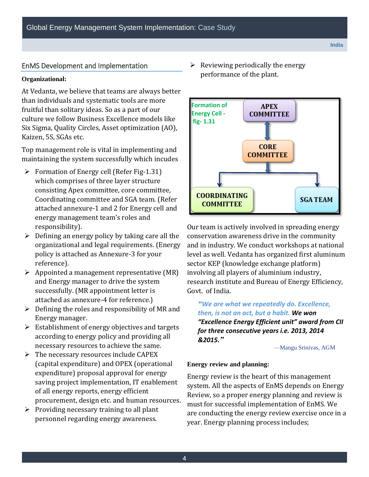#### EnMS Development and Implementation

#### **Organizational:**

At Vedanta, we believe that teams are always better than individuals and systematic tools are more fruitful than solitary ideas. So as a part of our culture we follow Business Excellence models like Six Sigma, Quality Circles, Asset optimization (AO), Kaizen, 5S, SGAs etc.

Top management role is vital in implementing and maintaining the system successfully which incudes

- $\triangleright$  Formation of Energy cell (Refer Fig-1.31) which comprises of three layer structure consisting Apex committee, core committee, Coordinating committee and SGA team. (Refer attached annexure-1 and 2 for Energy cell and energy management team's roles and responsibility).
- $\triangleright$  Defining an energy policy by taking care all the organizational and legal requirements. (Energy policy is attached as Annexure-3 for your reference).
- $\triangleright$  Appointed a management representative (MR) and Energy manager to drive the system successfully. (MR appointment letter is attached as annexure-4 for reference.)
- $\triangleright$  Defining the roles and responsibility of MR and Energy manager.
- necessary resources to achieve the same.  $\triangleright$  Establishment of energy objectives and targets according to energy policy and providing all
- $\triangleright$  The necessary resources include CAPEX (capital expenditure) and OPEX (operational expenditure) proposal approval for energy saving project implementation, IT enablement of all energy reports, energy efficient procurement, design etc. and human resources.
- $\triangleright$  Providing necessary training to all plant personnel regarding energy awareness.

 Reviewing periodically the energy performance of the plant.



 Govt. of India. Our team is actively involved in spreading energy conservation awareness drive in the community and in industry. We conduct workshops at national level as well. Vedanta has organized first aluminum sector KEP (knowledge exchange platform) involving all players of aluminium industry, research institute and Bureau of Energy Efficiency,

 *then, is not an act, but a habit. We won for three consecutive years i.e. 2013, 2014 "We are what we repeatedly do. Excellence, "Excellence Energy Efficient unit" award from CII &2015."*

—Mangu Srinivas, AGM

#### **Energy review and planning:**

Energy review is the heart of this management system. All the aspects of EnMS depends on Energy Review, so a proper energy planning and review is must for successful implementation of EnMS. We are conducting the energy review exercise once in a year. Energy planning process includes;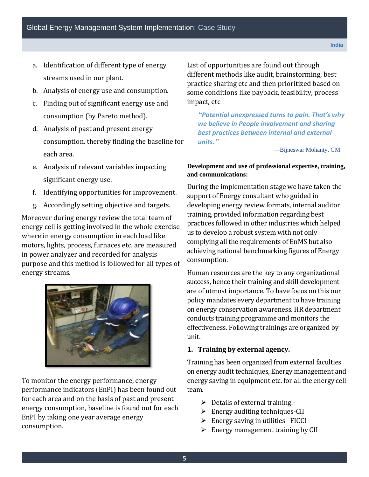- a. Identification of different type of energy streams used in our plant.
- b. Analysis of energy use and consumption.
- consumption (by Pareto method). c. Finding out of significant energy use and
- d. Analysis of past and present energy consumption, thereby finding the baseline for each area.
- e. Analysis of relevant variables impacting significant energy use.
- f. Identifying opportunities for improvement.
- g. Accordingly setting objective and targets.

Moreover during energy review the total team of energy cell is getting involved in the whole exercise where in energy consumption in each load like motors, lights, process, furnaces etc. are measured in power analyzer and recorded for analysis purpose and this method is followed for all types of energy streams.



To monitor the energy performance, energy performance indicators (EnPI) has been found out for each area and on the basis of past and present energy consumption, baseline is found out for each EnPI by taking one year average energy consumption.

List of opportunities are found out through different methods like audit, brainstorming, best practice sharing etc and then prioritized based on some conditions like payback, feasibility, process impact, etc

*"Potential unexpressed turns to pain. That's why we believe in People involvement and sharing best practices between internal and external units."*

—Bijneswar Mohanty, GM

### **Development and use of professional expertise, training, and communications:**

 During the implementation stage we have taken the support of Energy consultant who guided in developing energy review formats, internal auditor training, provided information regarding best practices followed in other industries which helped us to develop a robust system with not only complying all the requirements of EnMS but also achieving national benchmarking figures of Energy consumption.

 Human resources are the key to any organizational success, hence their training and skill development are of utmost importance. To have focus on this our policy mandates every department to have training on energy conservation awareness. HR department conducts training programme and monitors the effectiveness. Following trainings are organized by unit.

# **1. Training by external agency.**

 Training has been organized from external faculties on energy audit techniques, Energy management and energy saving in equipment etc. for all the energy cell team.

- $\triangleright$  Details of external training:-
- $\triangleright$  Energy auditing techniques-CII
- $\triangleright$  Energy saving in utilities -FICCI
- $\triangleright$  Energy management training by CII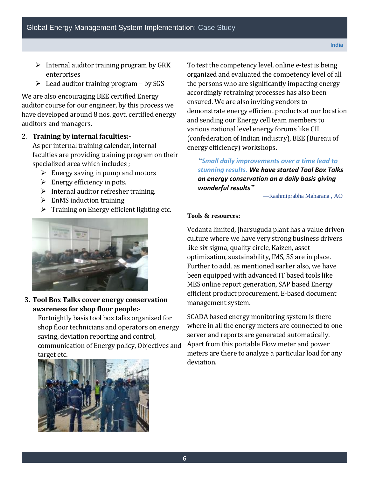- $\triangleright$  Internal auditor training program by GRK enterprises
- $\triangleright$  Lead auditor training program by SGS

 We are also encouraging BEE certified Energy auditor course for our engineer, by this process we have developed around 8 nos. govt. certified energy auditors and managers.

# 2. **Training by internal faculties:-**

 As per internal training calendar, internal faculties are providing training program on their specialized area which includes ;

- $\triangleright$  Energy saving in pump and motors
- $\triangleright$  Energy efficiency in pots.
- $\triangleright$  Internal auditor refresher training.
- $\triangleright$  EnMS induction training
- $\triangleright$  Training on Energy efficient lighting etc.



 **3. Tool Box Talks cover energy conservation awareness for shop floor people:-**

 Fortnightly basis tool box talks organized for shop floor technicians and operators on energy saving, deviation reporting and control, communication of Energy policy, Objectives and target etc.



 To test the competency level, online e-test is being organized and evaluated the competency level of all the persons who are significantly impacting energy accordingly retraining processes has also been ensured. We are also inviting vendors to demonstrate energy efficient products at our location and sending our Energy cell team members to various national level energy forums like CII (confederation of Indian industry), BEE (Bureau of energy efficiency) workshops.

*"Small daily improvements over a time lead to stunning results. We have started Tool Box Talks on energy conservation on a daily basis giving wonderful results"*

—Rashmiprabha Maharana , AO

#### **Tools & resources:**

 Vedanta limited, Jharsuguda plant has a value driven culture where we have very strong business drivers like six sigma, quality circle, Kaizen, asset optimization, sustainability, IMS, 5S are in place. Further to add, as mentioned earlier also, we have been equipped with advanced IT based tools like MES online report generation, SAP based Energy efficient product procurement, E-based document management system.

 SCADA based energy monitoring system is there where in all the energy meters are connected to one server and reports are generated automatically. Apart from this portable Flow meter and power meters are there to analyze a particular load for any deviation.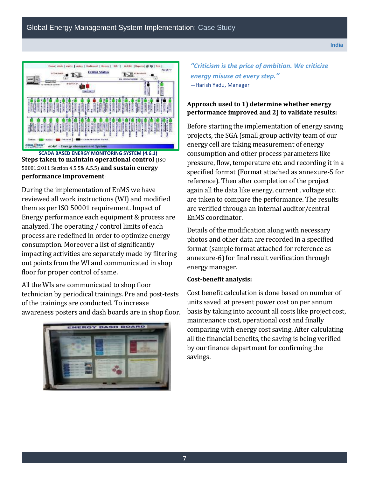

**SCADA BASED ENERGY MONITORING SYSTEM (4.6.1) Steps taken to maintain operational control** (ISO) 50001:2011 Section 4.5.5& A.5.5) **and sustain energy performance improvement**:

 During the implementation of EnMS we have reviewed all work instructions (WI) and modified them as per ISO 50001 requirement. Impact of Energy performance each equipment & process are analyzed. The operating / control limits of each process are redefined in order to optimize energy consumption. Moreover a list of significantly impacting activities are separately made by filtering out points from the WI and communicated in shop floor for proper control of same.

 All the WIs are communicated to shop floor technician by periodical trainings. Pre and post-tests of the trainings are conducted. To increase awareness posters and dash boards are in shop floor.



*"Criticism is the price of ambition. We criticize energy misuse at every step."*  —Harish Yadu, Manager

# **Approach used to 1) determine whether energy performance improved and 2) to validate results:**

 Before starting the implementation of energy saving projects, the SGA (small group activity team of our energy cell are taking measurement of energy consumption and other process parameters like pressure, flow, temperature etc. and recording it in a specified format (Format attached as annexure-5 for reference). Then after completion of the project again all the data like energy, current , voltage etc. are taken to compare the performance. The results are verified through an internal auditor/central EnMS coordinator.

 Details of the modification along with necessary photos and other data are recorded in a specified format (sample format attached for reference as annexure-6) for final result verification through energy manager.

#### **Cost-benefit analysis:**

 Cost benefit calculation is done based on number of units saved at present power cost on per annum basis by taking into account all costs like project cost, maintenance cost, operational cost and finally comparing with energy cost saving. After calculating all the financial benefits, the saving is being verified by our finance department for confirming the savings.